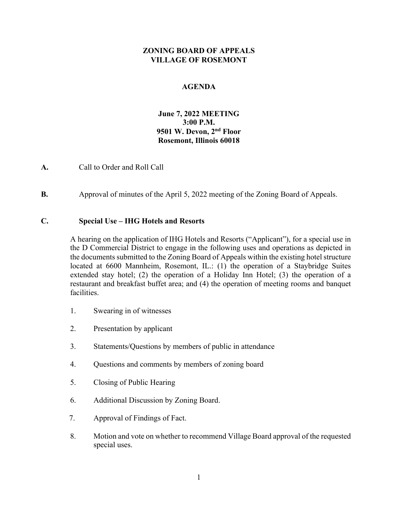### **ZONING BOARD OF APPEALS VILLAGE OF ROSEMONT**

# **AGENDA**

# **June 7, 2022 MEETING 3:00 P.M. 9501 W. Devon, 2nd Floor Rosemont, Illinois 60018**

**A.** Call to Order and Roll Call

**B.** Approval of minutes of the April 5, 2022 meeting of the Zoning Board of Appeals.

#### **C. Special Use – IHG Hotels and Resorts**

A hearing on the application of IHG Hotels and Resorts ("Applicant"), for a special use in the D Commercial District to engage in the following uses and operations as depicted in the documents submitted to the Zoning Board of Appeals within the existing hotel structure located at 6600 Mannheim, Rosemont, IL.: (1) the operation of a Staybridge Suites extended stay hotel; (2) the operation of a Holiday Inn Hotel; (3) the operation of a restaurant and breakfast buffet area; and (4) the operation of meeting rooms and banquet facilities.

- 1. Swearing in of witnesses
- 2. Presentation by applicant
- 3. Statements/Questions by members of public in attendance
- 4. Questions and comments by members of zoning board
- 5. Closing of Public Hearing
- 6. Additional Discussion by Zoning Board.
- 7. Approval of Findings of Fact.
- 8. Motion and vote on whether to recommend Village Board approval of the requested special uses.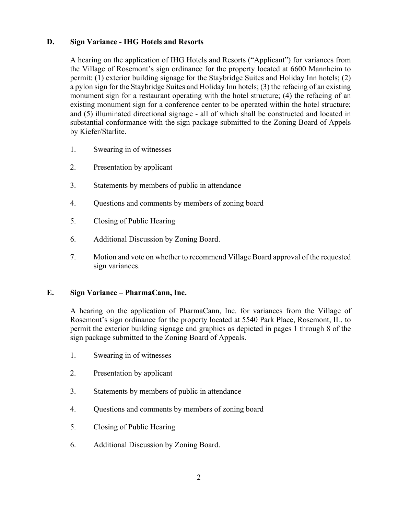### **D. Sign Variance - IHG Hotels and Resorts**

A hearing on the application of IHG Hotels and Resorts ("Applicant") for variances from the Village of Rosemont's sign ordinance for the property located at 6600 Mannheim to permit: (1) exterior building signage for the Staybridge Suites and Holiday Inn hotels; (2) a pylon sign for the Staybridge Suites and Holiday Inn hotels; (3) the refacing of an existing monument sign for a restaurant operating with the hotel structure; (4) the refacing of an existing monument sign for a conference center to be operated within the hotel structure; and (5) illuminated directional signage - all of which shall be constructed and located in substantial conformance with the sign package submitted to the Zoning Board of Appels by Kiefer/Starlite.

- 1. Swearing in of witnesses
- 2. Presentation by applicant
- 3. Statements by members of public in attendance
- 4. Questions and comments by members of zoning board
- 5. Closing of Public Hearing
- 6. Additional Discussion by Zoning Board.
- 7. Motion and vote on whether to recommend Village Board approval of the requested sign variances.

### **E. Sign Variance – PharmaCann, Inc.**

A hearing on the application of PharmaCann, Inc. for variances from the Village of Rosemont's sign ordinance for the property located at 5540 Park Place, Rosemont, IL. to permit the exterior building signage and graphics as depicted in pages 1 through 8 of the sign package submitted to the Zoning Board of Appeals.

- 1. Swearing in of witnesses
- 2. Presentation by applicant
- 3. Statements by members of public in attendance
- 4. Questions and comments by members of zoning board
- 5. Closing of Public Hearing
- 6. Additional Discussion by Zoning Board.